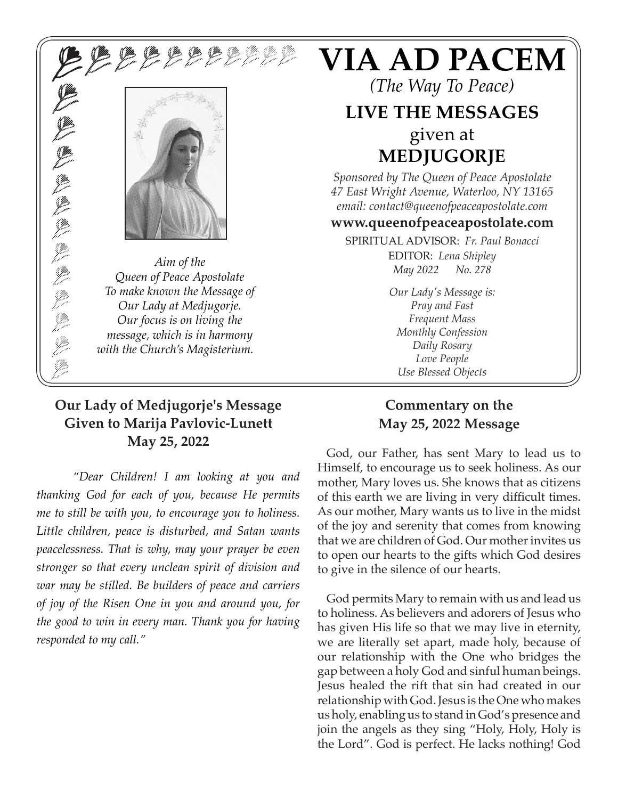**X D D D D D D D D D D D D** 



*Aim of the*<br> *Queen of Peace Apostolate*<br> *May 2022 No. 278 To make known the Message of Our Lady at Medjugorje. Our focus is on living the message, which is in harmony with the Church's Magisterium.*

#### **Our Lady of Medjugorje's Message Given to Marija Pavlovic-Lunett May 25, 2022**

*"Dear Children! I am looking at you and thanking God for each of you, because He permits me to still be with you, to encourage you to holiness. Little children, peace is disturbed, and Satan wants peacelessness. That is why, may your prayer be even stronger so that every unclean spirit of division and war may be stilled. Be builders of peace and carriers of joy of the Risen One in you and around you, for the good to win in every man. Thank you for having responded to my call."*

# **VIA AD PACEM**

*(The Way To Peace)*

### **LIVE THE MESSAGES** given at **MEDJUGORJE**

*Sponsored by The Queen of Peace Apostolate 47 East Wright Avenue, Waterloo, NY 13165 email: contact@queenofpeaceapostolate.com*

#### **www.queenofpeaceapostolate.com**

SPIRITUAL ADVISOR: *Fr. Paul Bonacci* EDITOR: *Lena Shipley*

> *Our Lady's Message is: Pray and Fast Frequent Mass Monthly Confession Daily Rosary Love People Use Blessed Objects*

#### **Commentary on the May 25, 2022 Message**

God, our Father, has sent Mary to lead us to Himself, to encourage us to seek holiness. As our mother, Mary loves us. She knows that as citizens of this earth we are living in very difficult times. As our mother, Mary wants us to live in the midst of the joy and serenity that comes from knowing that we are children of God. Our mother invites us to open our hearts to the gifts which God desires to give in the silence of our hearts.

God permits Mary to remain with us and lead us to holiness. As believers and adorers of Jesus who has given His life so that we may live in eternity, we are literally set apart, made holy, because of our relationship with the One who bridges the gap between a holy God and sinful human beings. Jesus healed the rift that sin had created in our relationship with God. Jesus is the One who makes us holy, enabling us to stand in God's presence and join the angels as they sing "Holy, Holy, Holy is the Lord". God is perfect. He lacks nothing! God